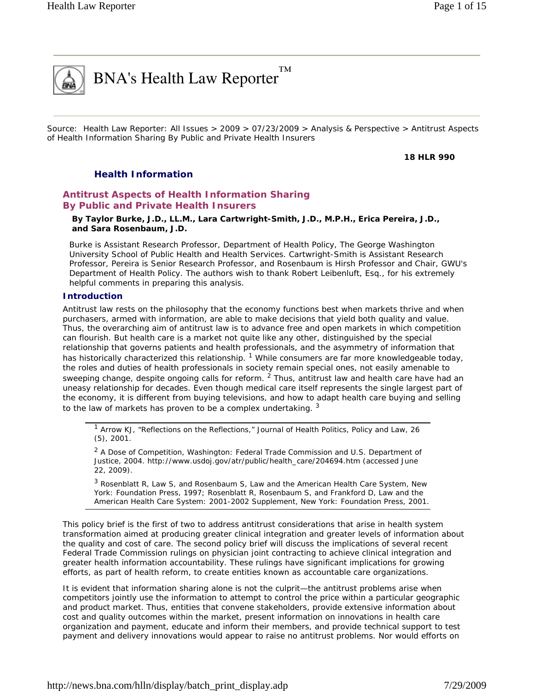# $BNA's Health Law Reporter^{TM}$

Source: Health Law Reporter: All Issues > 2009 > 07/23/2009 > Analysis & Perspective > Antitrust Aspects of Health Information Sharing By Public and Private Health Insurers

**18 HLR 990** 

## *Health Information*

## **Antitrust Aspects of Health Information Sharing By Public and Private Health Insurers**

**By Taylor Burke, J.D., LL.M., Lara Cartwright-Smith, J.D., M.P.H., Erica Pereira, J.D., and Sara Rosenbaum, J.D.** 

*Burke is Assistant Research Professor, Department of Health Policy, The George Washington University School of Public Health and Health Services. Cartwright-Smith is Assistant Research Professor, Pereira is Senior Research Professor, and Rosenbaum is Hirsh Professor and Chair, GWU's Department of Health Policy. The authors wish to thank Robert Leibenluft, Esq., for his extremely helpful comments in preparing this analysis.* 

#### **Introduction**

Antitrust law rests on the philosophy that the economy functions best when markets thrive and when purchasers, armed with information, are able to make decisions that yield both quality and value. Thus, the overarching aim of antitrust law is to advance free and open markets in which competition can flourish. But health care is a market not quite like any other, distinguished by the special relationship that governs patients and health professionals, and the asymmetry of information that has historically characterized this relationship. <sup>1</sup> While consumers are far more knowledgeable today, the roles and duties of health professionals in society remain special ones, not easily amenable to sweeping change, despite ongoing calls for reform. <sup>2</sup> Thus, antitrust law and health care have had an uneasy relationship for decades. Even though medical care itself represents the single largest part of the economy, it is different from buying televisions, and how to adapt health care buying and selling to the law of markets has proven to be a complex undertaking.  $3$ 

1 Arrow KJ, "Reflections on the Reflections," *Journal of Health Politics, Policy and Law*, 26 (5), 2001.

<sup>2</sup> *A Dose of Competition*, Washington: Federal Trade Commission and U.S. Department of Justice, 2004. http://www.usdoj.gov/atr/public/health\_care/204694.htm (accessed June 22, 2009).

3 Rosenblatt R, Law S, and Rosenbaum S, *Law and the American Health Care System,* New York: Foundation Press, 1997; Rosenblatt R, Rosenbaum S, and Frankford D, *Law and the American Health Care System: 2001-2002 Supplement*, New York: Foundation Press, 2001.

This policy brief is the first of two to address antitrust considerations that arise in health system transformation aimed at producing greater clinical integration and greater levels of information about the quality and cost of care. The second policy brief will discuss the implications of several recent Federal Trade Commission rulings on physician joint contracting to achieve clinical integration and greater health information accountability. These rulings have significant implications for growing efforts, as part of health reform, to create entities known as accountable care organizations.

It is evident that information sharing alone is not the culprit—the antitrust problems arise when competitors jointly use the information to attempt to control the price within a particular geographic and product market. Thus, entities that convene stakeholders, provide extensive information about cost and quality outcomes within the market, present information on innovations in health care organization and payment, educate and inform their members, and provide technical support to test payment and delivery innovations would appear to raise no antitrust problems. Nor would efforts on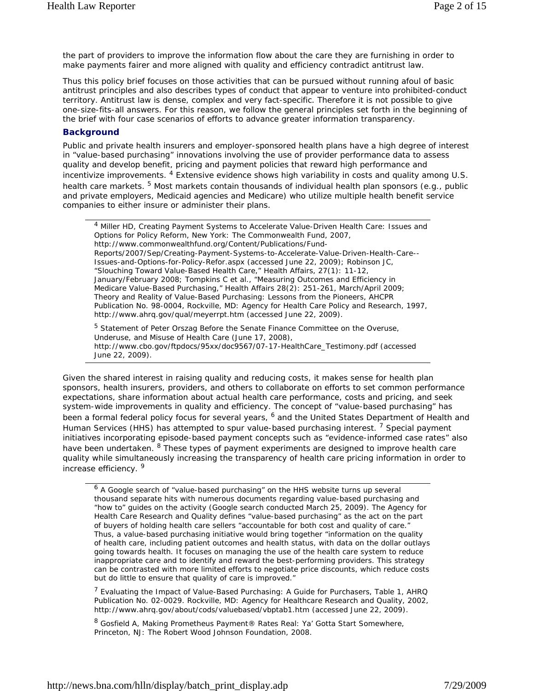the part of providers to improve the information flow about the care they are furnishing in order to make payments fairer and more aligned with quality and efficiency contradict antitrust law.

Thus this policy brief focuses on those activities that can be pursued without running afoul of basic antitrust principles and also describes types of conduct that appear to venture into prohibited-conduct territory. Antitrust law is dense, complex and very fact-specific. Therefore it is not possible to give one-size-fits-all answers. For this reason, we follow the general principles set forth in the beginning of the brief with four case scenarios of efforts to advance greater information transparency.

#### **Background**

Public and private health insurers and employer-sponsored health plans have a high degree of interest in "value-based purchasing" innovations involving the use of provider performance data to assess quality and develop benefit, pricing and payment policies that reward high performance and incentivize improvements. <sup>4</sup> Extensive evidence shows high variability in costs and quality among U.S. health care markets. <sup>5</sup> Most markets contain thousands of individual health plan sponsors (e.g., public and private employers, Medicaid agencies and Medicare) who utilize multiple health benefit service companies to either insure or administer their plans.

4 Miller HD, *Creating Payment Systems to Accelerate Value-Driven Health Care: Issues and Options for Policy Reform*, New York: The Commonwealth Fund, 2007, http://www.commonwealthfund.org/Content/Publications/Fund-Reports/2007/Sep/Creating-Payment-Systems-to-Accelerate-Value-Driven-Health-Care-- Issues-and-Options-for-Policy-Refor.aspx (accessed June 22, 2009); Robinson JC, "Slouching Toward Value-Based Health Care," *Health Affairs*, 27(1): 11-12, January/February 2008; Tompkins C et al., "Measuring Outcomes and Efficiency in Medicare Value-Based Purchasing," *Health Affairs* 28(2): 251-261, March/April 2009; *Theory and Reality of Value-Based Purchasing: Lessons from the Pioneers*, AHCPR Publication No. 98-0004, Rockville, MD: Agency for Health Care Policy and Research, 1997, http://www.ahrq.gov/qual/meyerrpt.htm (accessed June 22, 2009).

<sup>5</sup> Statement of Peter Orszag Before the Senate Finance Committee on the Overuse, Underuse, and Misuse of Health Care (June 17, 2008), http://www.cbo.gov/ftpdocs/95xx/doc9567/07-17-HealthCare\_Testimony.pdf (accessed June 22, 2009).

Given the shared interest in raising quality and reducing costs, it makes sense for health plan sponsors, health insurers, providers, and others to collaborate on efforts to set common performance expectations, share information about actual health care performance, costs and pricing, and seek system-wide improvements in quality and efficiency. The concept of "value-based purchasing" has been a formal federal policy focus for several years, <sup>6</sup> and the United States Department of Health and Human Services (HHS) has attempted to spur value-based purchasing interest.<sup>7</sup> Special payment initiatives incorporating episode-based payment concepts such as "evidence-informed case rates" also have been undertaken. <sup>8</sup> These types of payment experiments are designed to improve health care quality while simultaneously increasing the transparency of health care pricing information in order to increase efficiency. 9

<sup>6</sup> A Google search of "value-based purchasing" on the HHS website turns up several thousand separate hits with numerous documents regarding value-based purchasing and "how to" guides on the activity (Google search conducted March 25, 2009). The Agency for Health Care Research and Quality defines "value-based purchasing" as the act on the part of buyers of holding health care sellers "accountable for both cost and quality of care." Thus, a value-based purchasing initiative would bring together "information on the quality of health care, including patient outcomes and health status, with data on the dollar outlays going towards health. It focuses on managing the use of the health care system to reduce inappropriate care and to identify and reward the best-performing providers. This strategy can be contrasted with more limited efforts to negotiate price discounts, which reduce costs but do little to ensure that quality of care is improved."

<sup>7</sup> *Evaluating the Impact of Value-Based Purchasing: A Guide for Purchasers*, Table 1, AHRQ Publication No. 02-0029. Rockville, MD: Agency for Healthcare Research and Quality, 2002, http://www.ahrq.gov/about/cods/valuebased/vbptab1.htm (accessed June 22, 2009).

8 Gosfield A, *Making Prometheus Payment® Rates Real: Ya' Gotta Start Somewhere*, Princeton, NJ: The Robert Wood Johnson Foundation, 2008.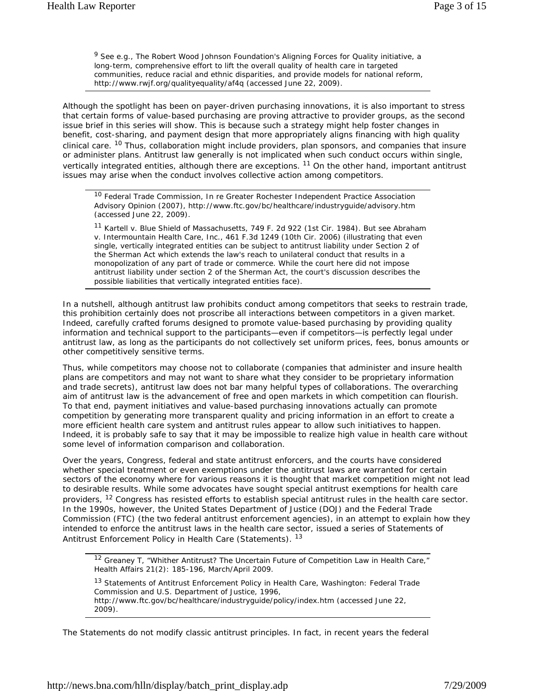9 See e.g., The Robert Wood Johnson Foundation's *Aligning Forces for Quality* initiative, a long-term, comprehensive effort to lift the overall quality of health care in targeted communities, reduce racial and ethnic disparities, and provide models for national reform, http://www.rwjf.org/qualityequality/af4q (accessed June 22, 2009).

Although the spotlight has been on payer-driven purchasing innovations, it is also important to stress that certain forms of value-based purchasing are proving attractive to provider groups, as the second issue brief in this series will show. This is because such a strategy might help foster changes in benefit, cost-sharing, and payment design that more appropriately aligns financing with high quality clinical care. <sup>10</sup> Thus, collaboration might include providers, plan sponsors, and companies that insure or administer plans. Antitrust law generally is not implicated when such conduct occurs within single, vertically integrated entities, although there are exceptions. <sup>11</sup> On the other hand, important antitrust issues may arise when the conduct involves collective action among competitors.

<sup>10</sup> Federal Trade Commission, In re Greater Rochester Independent Practice Association Advisory Opinion (2007), http://www.ftc.gov/bc/healthcare/industryguide/advisory.htm (accessed June 22, 2009).

<sup>11</sup> *Kartell v. Blue Shield of Massachusetts*, 749 F. 2d 922 (1st Cir. 1984). But see *Abraham v. Intermountain Health Care, Inc.*, 461 F.3d 1249 (10th Cir. 2006) (illustrating that even single, vertically integrated entities can be subject to antitrust liability under Section 2 of the Sherman Act which extends the law's reach to unilateral conduct that results in a monopolization of any part of trade or commerce. While the court here did not impose antitrust liability under section 2 of the Sherman Act, the court's discussion describes the possible liabilities that vertically integrated entities face).

In a nutshell, although antitrust law prohibits conduct among competitors that seeks to restrain trade, this prohibition certainly does not proscribe all interactions between competitors in a given market. Indeed, carefully crafted forums designed to promote value-based purchasing by providing quality information and technical support to the participants—even if competitors—is perfectly legal under antitrust law, as long as the participants do not collectively set uniform prices, fees, bonus amounts or other competitively sensitive terms.

Thus, while competitors may choose not to collaborate (companies that administer and insure health plans are competitors and may not want to share what they consider to be proprietary information and trade secrets), antitrust law does not bar many helpful types of collaborations. The overarching aim of antitrust law is the advancement of free and open markets in which competition can flourish. To that end, payment initiatives and value-based purchasing innovations actually can promote competition by generating more transparent quality and pricing information in an effort to create a more efficient health care system and antitrust rules appear to allow such initiatives to happen. Indeed, it is probably safe to say that it may be impossible to realize high value in health care without some level of information comparison and collaboration.

Over the years, Congress, federal and state antitrust enforcers, and the courts have considered whether special treatment or even exemptions under the antitrust laws are warranted for certain sectors of the economy where for various reasons it is thought that market competition might not lead to desirable results. While some advocates have sought special antitrust exemptions for health care providers, <sup>12</sup> Congress has resisted efforts to establish special antitrust rules in the health care sector. In the 1990s, however, the United States Department of Justice (DOJ) and the Federal Trade Commission (FTC) (the two federal antitrust enforcement agencies), in an attempt to explain how they intended to enforce the antitrust laws in the health care sector, issued a series of *Statements of Antitrust Enforcement Policy in Health Care* (Statements). <sup>13</sup>

<sup>12</sup> Greaney T, "Whither Antitrust? The Uncertain Future of Competition Law in Health Care," *Health Affairs* 21(2): 185-196, March/April 2009.

<sup>13</sup> *Statements of Antitrust Enforcement Policy in Health Care,* Washington: Federal Trade Commission and U.S. Department of Justice, 1996, http://www.ftc.gov/bc/healthcare/industryguide/policy/index.htm (accessed June 22, 2009).

The Statements do not modify classic antitrust principles. In fact, in recent years the federal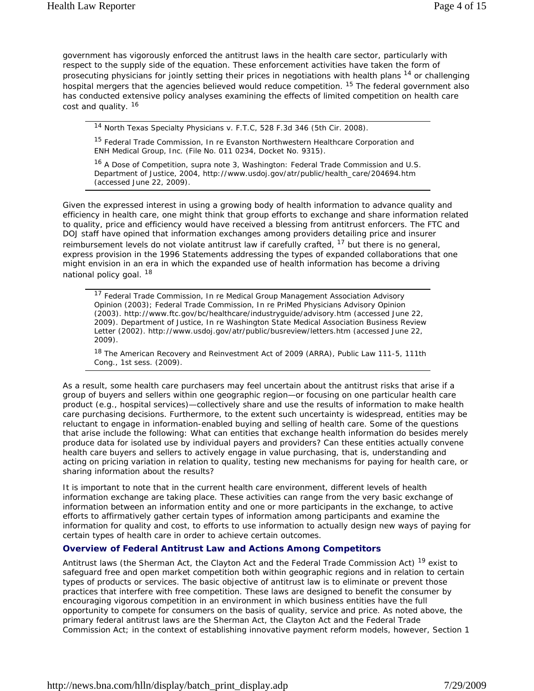government has vigorously enforced the antitrust laws in the health care sector, particularly with respect to the supply side of the equation. These enforcement activities have taken the form of prosecuting physicians for jointly setting their prices in negotiations with health plans <sup>14</sup> or challenging hospital mergers that the agencies believed would reduce competition. <sup>15</sup> The federal government also has conducted extensive policy analyses examining the effects of limited competition on health care cost and quality.<sup>16</sup>

14 North Texas Specialty Physicians v. F.T.C, 528 F.3d 346 (5th Cir. 2008).

<sup>15</sup> Federal Trade Commission, In re Evanston Northwestern Healthcare Corporation and ENH Medical Group, Inc. (File No. 011 0234, Docket No. 9315).

<sup>16</sup> *A Dose of Competition*, supra note 3, Washington: Federal Trade Commission and U.S. Department of Justice, 2004, http://www.usdoj.gov/atr/public/health\_care/204694.htm (accessed June 22, 2009).

Given the expressed interest in using a growing body of health information to advance quality and efficiency in health care, one might think that group efforts to exchange and share information related to quality, price and efficiency would have received a blessing from antitrust enforcers. The FTC and DOJ staff have opined that information exchanges among providers detailing price and insurer reimbursement levels do not violate antitrust law if carefully crafted,  $17$  but there is no general, express provision in the 1996 Statements addressing the types of expanded collaborations that one might envision in an era in which the expanded use of health information has become a driving national policy goal.<sup>18</sup>

<sup>17</sup> Federal Trade Commission, In re Medical Group Management Association Advisory Opinion (2003); Federal Trade Commission, In re PriMed Physicians Advisory Opinion (2003). http://www.ftc.gov/bc/healthcare/industryguide/advisory.htm (accessed June 22, 2009). Department of Justice, In re Washington State Medical Association Business Review Letter (2002). http://www.usdoj.gov/atr/public/busreview/letters.htm (accessed June 22, 2009).

<sup>18</sup> The American Recovery and Reinvestment Act of 2009 (ARRA), Public Law 111-5, 111th Cong., 1st sess. (2009).

As a result, some health care purchasers may feel uncertain about the antitrust risks that arise if a group of buyers and sellers within one geographic region—or focusing on one particular health care product (e.g., hospital services)—collectively share and use the results of information to make health care purchasing decisions. Furthermore, to the extent such uncertainty is widespread, entities may be reluctant to engage in information-enabled buying and selling of health care. Some of the questions that arise include the following: What can entities that exchange health information do besides merely produce data for isolated use by individual payers and providers? Can these entities actually convene health care buyers and sellers to actively engage in value purchasing, that is, understanding and acting on pricing variation in relation to quality, testing new mechanisms for paying for health care, or sharing information about the results?

It is important to note that in the current health care environment, different levels of health information exchange are taking place. These activities can range from the very basic exchange of information between an information entity and one or more participants in the exchange, to active efforts to affirmatively gather certain types of information among participants and examine the information for quality and cost, to efforts to use information to actually design new ways of paying for certain types of health care in order to achieve certain outcomes.

#### **Overview of Federal Antitrust Law and Actions Among Competitors**

Antitrust laws (the Sherman Act, the Clayton Act and the Federal Trade Commission Act) <sup>19</sup> exist to safeguard free and open market competition both within geographic regions and in relation to certain types of products or services. The basic objective of antitrust law is to eliminate or prevent those practices that interfere with free competition. These laws are designed to benefit the consumer by encouraging vigorous competition in an environment in which business entities have the full opportunity to compete for consumers on the basis of quality, service and price. As noted above, the primary federal antitrust laws are the Sherman Act, the Clayton Act and the Federal Trade Commission Act; in the context of establishing innovative payment reform models, however, Section 1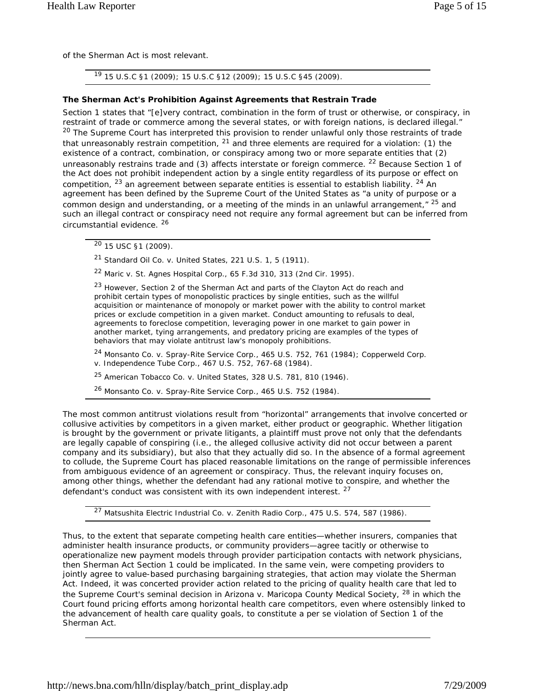of the Sherman Act is most relevant.

19 15 U.S.C §1 (2009); 15 U.S.C §12 (2009); 15 U.S.C §45 (2009).

#### *The Sherman Act's Prohibition Against Agreements that Restrain Trade*

Section 1 states that "[e]very contract, combination in the form of trust or otherwise, or conspiracy, in restraint of trade or commerce among the several states, or with foreign nations, is declared illegal." <sup>20</sup> The Supreme Court has interpreted this provision to render unlawful only those restraints of trade that unreasonably restrain competition,  $21$  and three elements are required for a violation: (1) the existence of a contract, combination, or conspiracy among two or more separate entities that (2) unreasonably restrains trade and (3) affects interstate or foreign commerce. <sup>22</sup> Because Section 1 of the Act does not prohibit independent action by a single entity regardless of its purpose or effect on competition, <sup>23</sup> an agreement between separate entities is essential to establish liability. <sup>24</sup> An agreement has been defined by the Supreme Court of the United States as "a unity of purpose or a common design and understanding, or a meeting of the minds in an unlawful arrangement, $^{\prime\prime}$  25 and such an illegal contract or conspiracy need not require any formal agreement but can be inferred from circumstantial evidence. <sup>26</sup>

20 15 USC §1 (2009).

<sup>21</sup> *Standard Oil Co. v. United States*, 221 U.S. 1, 5 (1911).

<sup>22</sup> *Maric v. St. Agnes Hospital Corp*., 65 F.3d 310, 313 (2nd Cir. 1995).

<sup>23</sup> However, Section 2 of the Sherman Act and parts of the Clayton Act do reach and prohibit certain types of monopolistic practices by single entities, such as the willful acquisition or maintenance of monopoly or market power with the ability to control market prices or exclude competition in a given market. Conduct amounting to refusals to deal, agreements to foreclose competition, leveraging power in one market to gain power in another market, tying arrangements, and predatory pricing are examples of the types of behaviors that may violate antitrust law's monopoly prohibitions.

<sup>24</sup> *Monsanto Co. v. Spray-Rite Service Corp.*, 465 U.S. 752, 761 (1984); *Copperweld Corp. v. Independence Tube Corp*., 467 U.S. 752, 767-68 (1984).

<sup>25</sup> *American Tobacco Co. v. United States*, 328 U.S. 781, 810 (1946).

<sup>26</sup> *Monsanto Co. v. Spray-Rite Service Corp.*, 465 U.S. 752 (1984).

The most common antitrust violations result from "horizontal" arrangements that involve concerted or collusive activities by competitors in a given market, either product or geographic. Whether litigation is brought by the government or private litigants, a plaintiff must prove not only that the defendants are legally capable of conspiring (i.e., the alleged collusive activity did not occur between a parent company and its subsidiary), but also that they actually did so. In the absence of a formal agreement to collude, the Supreme Court has placed reasonable limitations on the range of permissible inferences from ambiguous evidence of an agreement or conspiracy. Thus, the relevant inquiry focuses on, among other things, whether the defendant had any rational motive to conspire, and whether the defendant's conduct was consistent with its own independent interest.<sup>27</sup>

<sup>27</sup> *Matsushita Electric Industrial Co. v. Zenith Radio Corp.*, 475 U.S. 574, 587 (1986).

Thus, to the extent that separate competing health care entities—whether insurers, companies that administer health insurance products, or community providers—agree tacitly or otherwise to operationalize new payment models through provider participation contacts with network physicians, then Sherman Act Section 1 could be implicated. In the same vein, were competing providers to jointly agree to value-based purchasing bargaining strategies, that action may violate the Sherman Act. Indeed, it was concerted provider action related to the pricing of quality health care that led to the Supreme Court's seminal decision in *Arizona v. Maricopa County Medical Society*, 28 in which the Court found pricing efforts among horizontal health care competitors, even where ostensibly linked to the advancement of health care quality goals, to constitute a *per se* violation of Section 1 of the Sherman Act.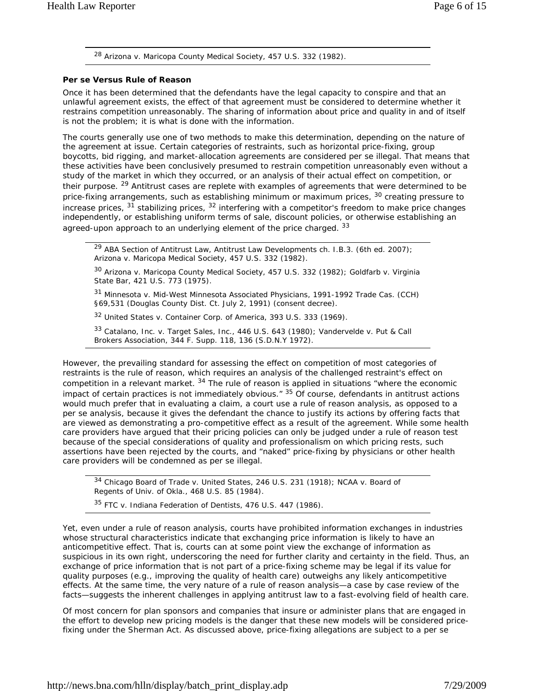<sup>28</sup> *Arizona v. Maricopa County Medical Society*, 457 U.S. 332 (1982).

#### *Per se Versus Rule of Reason*

Once it has been determined that the defendants have the legal capacity to conspire and that an unlawful agreement exists, the effect of that agreement must be considered to determine whether it restrains competition unreasonably. The sharing of information about price and quality in and of itself is not the problem; it is what is done with the information.

The courts generally use one of two methods to make this determination, depending on the nature of the agreement at issue. Certain categories of restraints, such as horizontal price-fixing, group boycotts, bid rigging, and market-allocation agreements are considered *per se* illegal. That means that these activities have been conclusively presumed to restrain competition unreasonably even without a study of the market in which they occurred, or an analysis of their actual effect on competition, or their purpose. <sup>29</sup> Antitrust cases are replete with examples of agreements that were determined to be price-fixing arrangements, such as establishing minimum or maximum prices, <sup>30</sup> creating pressure to increase prices,  $31$  stabilizing prices,  $32$  interfering with a competitor's freedom to make price changes independently, or establishing uniform terms of sale, discount policies, or otherwise establishing an agreed-upon approach to an underlying element of the price charged. 33

<sup>29</sup> ABA Section of Antitrust Law, Antitrust Law Developments ch. I.B.3. (6th ed. 2007); *Arizona v. Maricopa Medical Society*, 457 U.S. 332 (1982).

<sup>30</sup> *Arizona v. Maricopa County Medical Society*, 457 U.S. 332 (1982); *Goldfarb v. Virginia State Bar*, 421 U.S. 773 (1975).

<sup>31</sup> *Minnesota v. Mid-West Minnesota Associated Physicians*, 1991-1992 Trade Cas. (CCH) §69,531 (Douglas County Dist. Ct. July 2, 1991) (consent decree).

<sup>32</sup> *United States v. Container Corp. of America*, 393 U.S. 333 (1969).

<sup>33</sup> *Catalano, Inc. v. Target Sales, Inc*., 446 U.S. 643 (1980); *Vandervelde v. Put & Call Brokers Association*, 344 F. Supp. 118, 136 (S.D.N.Y 1972).

However, the prevailing standard for assessing the effect on competition of most categories of restraints is the *rule of reason*, which requires an analysis of the challenged restraint's effect on competition in a relevant market. <sup>34</sup> The rule of reason is applied in situations "where the economic impact of certain practices is not immediately obvious.<sup>" 35</sup> Of course, defendants in antitrust actions would much prefer that in evaluating a claim, a court use a *rule of reason* analysis, as opposed to a *per se* analysis, because it gives the defendant the chance to justify its actions by offering facts that are viewed as demonstrating a pro-competitive effect as a result of the agreement. While some health care providers have argued that their pricing policies can only be judged under a rule of reason test because of the special considerations of quality and professionalism on which pricing rests, such assertions have been rejected by the courts, and "naked" price-fixing by physicians or other health care providers will be condemned as per se illegal.

<sup>34</sup> *Chicago Board of Trade v. United States*, 246 U.S. 231 (1918); *NCAA v. Board of Regents of Univ. of Okla*., 468 U.S. 85 (1984).

<sup>35</sup> *FTC v. Indiana Federation of Dentists*, 476 U.S. 447 (1986).

Yet, even under a *rule of reason* analysis, courts have prohibited information exchanges in industries whose structural characteristics indicate that exchanging price information is likely to have an anticompetitive effect. That is, courts can at some point view the exchange of information as suspicious in its own right, underscoring the need for further clarity and certainty in the field. Thus, an exchange of price information that is not part of a price-fixing scheme may be legal if its value for quality purposes (e.g., improving the quality of health care) outweighs any likely anticompetitive effects. At the same time, the very nature of a *rule of reason* analysis—a case by case review of the facts—suggests the inherent challenges in applying antitrust law to a fast-evolving field of health care.

Of most concern for plan sponsors and companies that insure or administer plans that are engaged in the effort to develop new pricing models is the danger that these new models will be considered pricefixing under the Sherman Act. As discussed above, price-fixing allegations are subject to a *per se*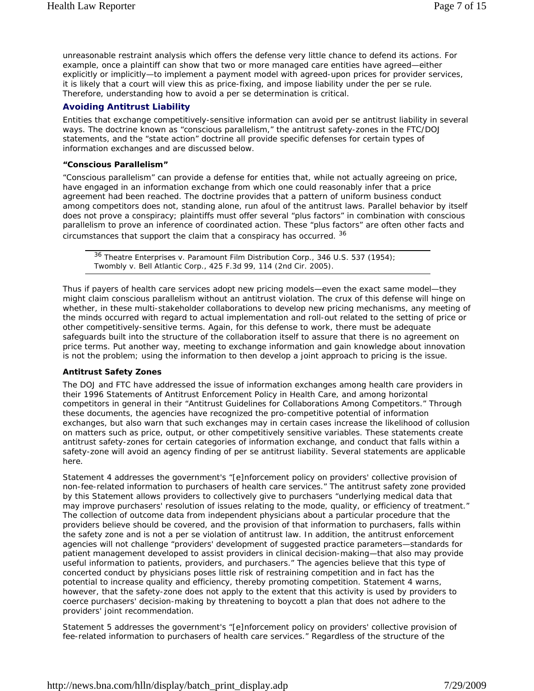unreasonable restraint analysis which offers the defense very little chance to defend its actions. For example, once a plaintiff can show that two or more managed care entities have agreed—either explicitly or implicitly—to implement a payment model with agreed-upon prices for provider services, it is likely that a court will view this as price-fixing, and impose liability under the *per se* rule. Therefore, understanding how to avoid a *per se* determination is critical.

### **Avoiding Antitrust Liability**

Entities that exchange competitively-sensitive information can avoid *per se* antitrust liability in several ways. The doctrine known as "conscious parallelism," the antitrust safety-zones in the FTC/DOJ statements, and the "state action" doctrine all provide specific defenses for certain types of information exchanges and are discussed below.

#### *"Conscious Parallelism"*

"Conscious parallelism" can provide a defense for entities that, while not actually agreeing on price, have engaged in an information exchange from which one could reasonably infer that a price agreement had been reached. The doctrine provides that a pattern of uniform business conduct among competitors does not, standing alone, run afoul of the antitrust laws. Parallel behavior by itself does not prove a conspiracy; plaintiffs must offer several "plus factors" in combination with conscious parallelism to prove an inference of coordinated action. These "plus factors" are often other facts and circumstances that support the claim that a conspiracy has occurred. 36

<sup>36</sup> *Theatre Enterprises v. Paramount Film Distribution Corp*., 346 U.S. 537 (1954); *Twombly v. Bell Atlantic Corp.*, 425 F.3d 99, 114 (2nd Cir. 2005).

Thus if payers of health care services adopt new pricing models—even the exact same model—they might claim conscious parallelism without an antitrust violation. The crux of this defense will hinge on whether, in these multi-stakeholder collaborations to develop new pricing mechanisms, any meeting of the minds occurred with regard to actual implementation and roll-out related to the setting of price or other competitively-sensitive terms. Again, for this defense to work, there must be adequate safeguards built into the structure of the collaboration itself to assure that there is no agreement on price terms. Put another way, meeting to exchange information and gain knowledge about innovation is not the problem; using the information to then develop a joint approach to pricing is the issue.

#### *Antitrust Safety Zones*

The DOJ and FTC have addressed the issue of information exchanges among health care providers in their *1996 Statements of Antitrust Enforcement Policy in Health Care*, and among horizontal competitors in general in their "Antitrust Guidelines for Collaborations Among Competitors." Through these documents, the agencies have recognized the pro-competitive potential of information exchanges, but also warn that such exchanges may in certain cases increase the likelihood of collusion on matters such as price, output, or other competitively sensitive variables. These statements create antitrust safety-zones for certain categories of information exchange, and conduct that falls within a safety-zone will avoid an agency finding of per se antitrust liability. Several statements are applicable here.

*Statement 4* addresses the government's "[e]nforcement policy on providers' collective provision of non-fee-related information to purchasers of health care services." The antitrust safety zone provided by this Statement allows providers to collectively give to purchasers "underlying medical data that may improve purchasers' resolution of issues relating to the mode, quality, or efficiency of treatment." The collection of outcome data from independent physicians about a particular procedure that the providers believe should be covered, and the provision of that information to purchasers, falls within the safety zone and is not a *per se* violation of antitrust law. In addition, the antitrust enforcement agencies will not challenge "providers' development of suggested practice parameters—standards for patient management developed to assist providers in clinical decision-making—that also may provide useful information to patients, providers, and purchasers." The agencies believe that this type of concerted conduct by physicians poses little risk of restraining competition and in fact has the potential to increase quality and efficiency, thereby promoting competition. Statement 4 warns, however, that the safety-zone does not apply to the extent that this activity is used by providers to coerce purchasers' decision-making by threatening to boycott a plan that does not adhere to the providers' joint recommendation.

*Statement 5* addresses the government's "[e]nforcement policy on providers' collective provision of fee-related information to purchasers of health care services." Regardless of the structure of the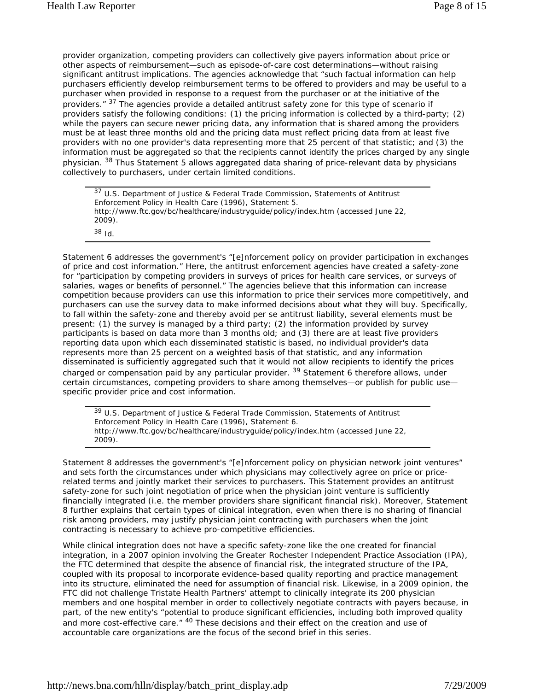provider organization, competing providers can collectively give payers information about price or other aspects of reimbursement—such as episode-of-care cost determinations—without raising significant antitrust implications. The agencies acknowledge that "such factual information can help purchasers efficiently develop reimbursement terms to be offered to providers and may be useful to a purchaser when provided in response to a request from the purchaser or at the initiative of the providers." <sup>37</sup> The agencies provide a detailed antitrust safety zone for this type of scenario if providers satisfy the following conditions: (1) the pricing information is collected by a third-party; (2) while the payers can secure newer pricing data, any information that is shared among the providers must be at least three months old and the pricing data must reflect pricing data from at least five providers with no one provider's data representing more that 25 percent of that statistic; and (3) the information must be aggregated so that the recipients cannot identify the prices charged by any single physician. <sup>38</sup> Thus Statement 5 allows aggregated data sharing of price-relevant data by physicians collectively to purchasers, under certain limited conditions.

 $37$  U.S. Department of Justice & Federal Trade Commission, Statements of Antitrust Enforcement Policy in Health Care (1996), Statement 5. http://www.ftc.gov/bc/healthcare/industryguide/policy/index.htm (accessed June 22, 2009). <sup>38</sup> *Id.*

*Statement 6* addresses the government's "[e]nforcement policy on provider participation in exchanges of price and cost information." Here, the antitrust enforcement agencies have created a safety-zone for "participation by competing providers in surveys of prices for health care services, or surveys of salaries, wages or benefits of personnel." The agencies believe that this information can increase competition because providers can use this information to price their services more competitively, and purchasers can use the survey data to make informed decisions about what they will buy. Specifically, to fall within the safety-zone and thereby avoid *per se* antitrust liability, several elements must be present: (1) the survey is managed by a third party; (2) the information provided by survey participants is based on data more than 3 months old; and (3) there are at least five providers reporting data upon which each disseminated statistic is based, no individual provider's data represents more than 25 percent on a weighted basis of that statistic, and any information disseminated is sufficiently aggregated such that it would not allow recipients to identify the prices charged or compensation paid by any particular provider.<sup>39</sup> Statement 6 therefore allows, under certain circumstances, competing providers to share among themselves—or publish for public use specific provider price and cost information.

<sup>39</sup> U.S. Department of Justice & Federal Trade Commission, Statements of Antitrust Enforcement Policy in Health Care (1996), Statement 6. http://www.ftc.gov/bc/healthcare/industryguide/policy/index.htm (accessed June 22, 2009).

*Statement 8* addresses the government's "[e]nforcement policy on physician network joint ventures" and sets forth the circumstances under which physicians may collectively agree on price or pricerelated terms and jointly market their services to purchasers. This Statement provides an antitrust safety-zone for such joint negotiation of price when the physician joint venture is sufficiently financially integrated (i.e. the member providers share significant financial risk). Moreover, Statement 8 further explains that certain types of clinical integration, even when there is no sharing of financial risk among providers, may justify physician joint contracting with purchasers when the joint contracting is necessary to achieve pro-competitive efficiencies.

While clinical integration does not have a specific safety-zone like the one created for financial integration, in a 2007 opinion involving the Greater Rochester Independent Practice Association (IPA), the FTC determined that despite the absence of financial risk, the integrated structure of the IPA, coupled with its proposal to incorporate evidence-based quality reporting and practice management into its structure, eliminated the need for assumption of financial risk. Likewise, in a 2009 opinion, the FTC did not challenge Tristate Health Partners' attempt to clinically integrate its 200 physician members and one hospital member in order to collectively negotiate contracts with payers because, in part, of the new entity's "potential to produce significant efficiencies, including both improved quality and more cost-effective care." <sup>40</sup> These decisions and their effect on the creation and use of accountable care organizations are the focus of the second brief in this series.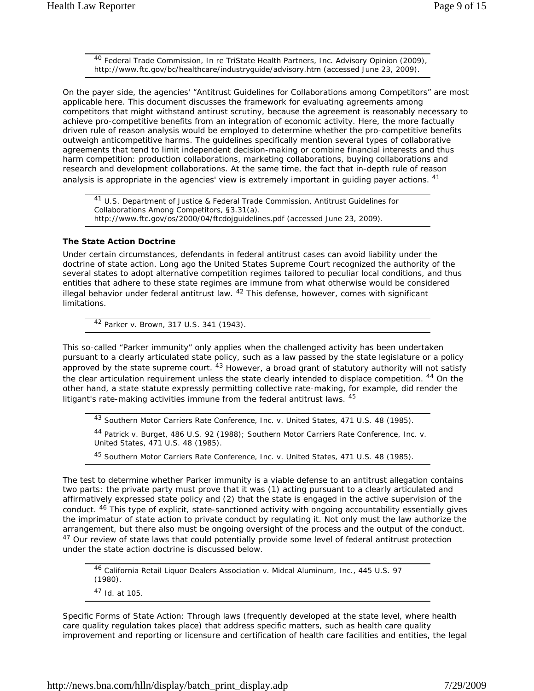<sup>40</sup> Federal Trade Commission, In re TriState Health Partners, Inc. Advisory Opinion (2009), http://www.ftc.gov/bc/healthcare/industryguide/advisory.htm (accessed June 23, 2009).

On the payer side, the agencies' "Antitrust Guidelines for Collaborations among Competitors" are most applicable here. This document discusses the framework for evaluating agreements among competitors that might withstand antirust scrutiny, because the agreement is reasonably necessary to achieve pro-competitive benefits from an integration of economic activity. Here, the more factually driven *rule of reason* analysis would be employed to determine whether the pro-competitive benefits outweigh anticompetitive harms. The guidelines specifically mention several types of collaborative agreements that tend to limit independent decision-making or combine financial interests and thus harm competition: production collaborations, marketing collaborations, buying collaborations and research and development collaborations. At the same time, the fact that in-depth *rule of reason* analysis is appropriate in the agencies' view is extremely important in quiding payer actions. <sup>41</sup>

41 U.S. Department of Justice & Federal Trade Commission, Antitrust Guidelines for Collaborations Among Competitors, §3.31(a). http://www.ftc.gov/os/2000/04/ftcdojguidelines.pdf (accessed June 23, 2009).

#### *The State Action Doctrine*

Under certain circumstances, defendants in federal antitrust cases can avoid liability under the doctrine of state action. Long ago the United States Supreme Court recognized the authority of the several states to adopt alternative competition regimes tailored to peculiar local conditions, and thus entities that adhere to these state regimes are immune from what otherwise would be considered illegal behavior under federal antitrust law.  $42$  This defense, however, comes with significant limitations.

<sup>42</sup> *Parker v. Brown*, 317 U.S. 341 (1943).

This so-called "Parker immunity" only applies when the challenged activity has been undertaken pursuant to a clearly articulated state policy, such as a law passed by the state legislature or a policy approved by the state supreme court. <sup>43</sup> However, a broad grant of statutory authority will not satisfy the clear articulation requirement unless the state clearly intended to displace competition. <sup>44</sup> On the other hand, a state statute expressly permitting collective rate-making, for example, did render the litigant's rate-making activities immune from the federal antitrust laws. 45

<sup>43</sup> *Southern Motor Carriers Rate Conference, Inc. v. United States*, 471 U.S. 48 (1985).

<sup>44</sup> *Patrick v. Burget*, 486 U.S. 92 (1988); *Southern Motor Carriers Rate Conference, Inc. v. United States*, 471 U.S. 48 (1985).

<sup>45</sup> *Southern Motor Carriers Rate Conference, Inc. v. United States*, 471 U.S. 48 (1985).

The test to determine whether Parker immunity is a viable defense to an antitrust allegation contains two parts: the private party must prove that it was (1) acting pursuant to a clearly articulated and affirmatively expressed state policy and (2) that the state is engaged in the active supervision of the conduct. <sup>46</sup> This type of explicit, state-sanctioned activity with ongoing accountability essentially gives the imprimatur of state action to private conduct by regulating it. Not only must the law authorize the arrangement, but there also must be ongoing oversight of the process and the output of the conduct. <sup>47</sup> Our review of state laws that could potentially provide some level of federal antitrust protection under the state action doctrine is discussed below.

<sup>46</sup> *California Retail Liquor Dealers Association v. Midcal Aluminum, Inc.*, 445 U.S. 97 (1980). <sup>47</sup> *Id.* at 105.

*Specific Forms of State Action:* Through laws (frequently developed at the state level, where health care quality regulation takes place) that address specific matters, such as health care quality improvement and reporting or licensure and certification of health care facilities and entities, the legal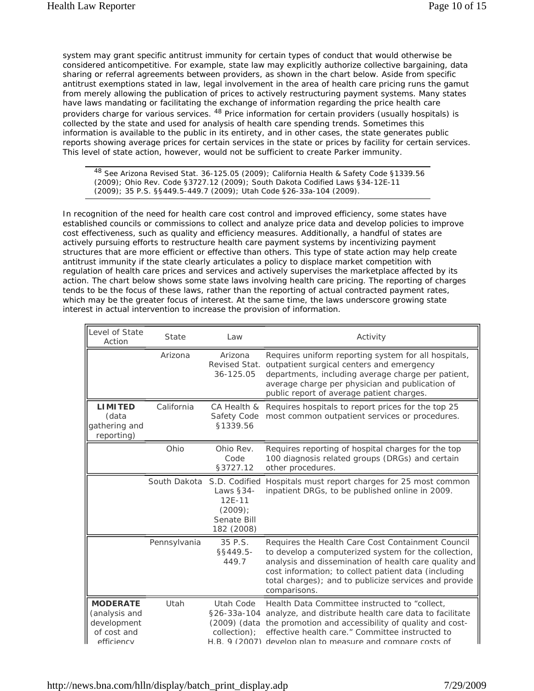system may grant specific antitrust immunity for certain types of conduct that would otherwise be considered anticompetitive. For example, state law may explicitly authorize collective bargaining, data sharing or referral agreements between providers, as shown in the chart below. Aside from specific antitrust exemptions stated in law, legal involvement in the area of health care pricing runs the gamut from merely allowing the publication of prices to actively restructuring payment systems. Many states have laws mandating or facilitating the exchange of information regarding the price health care providers charge for various services. 48 Price information for certain providers (usually hospitals) is collected by the state and used for analysis of health care spending trends. Sometimes this information is available to the public in its entirety, and in other cases, the state generates public reports showing average prices for certain services in the state or prices by facility for certain services. This level of state action, however, would not be sufficient to create Parker immunity.

48 See Arizona Revised Stat. 36-125.05 (2009); California Health & Safety Code §1339.56 (2009); Ohio Rev. Code §3727.12 (2009); South Dakota Codified Laws §34-12E-11 (2009); 35 P.S. §§449.5-449.7 (2009); Utah Code §26-33a-104 (2009).

In recognition of the need for health care cost control and improved efficiency, some states have established councils or commissions to collect and analyze price data and develop policies to improve cost effectiveness, such as quality and efficiency measures. Additionally, a handful of states are actively pursuing efforts to restructure health care payment systems by incentivizing payment structures that are more efficient or effective than others. This type of state action may help create antitrust immunity if the state clearly articulates a policy to displace market competition with regulation of health care prices and services and actively supervises the marketplace affected by its action. The chart below shows some state laws involving health care pricing. The reporting of charges tends to be the focus of these laws, rather than the reporting of actual contracted payment rates, which may be the greater focus of interest. At the same time, the laws underscore growing state interest in actual intervention to increase the provision of information.

| Level of State<br>Action                                                     | <b>State</b>               | Law                                                                                                                                            | Activity                                                                                                                                                                                                                                                                                            |  |
|------------------------------------------------------------------------------|----------------------------|------------------------------------------------------------------------------------------------------------------------------------------------|-----------------------------------------------------------------------------------------------------------------------------------------------------------------------------------------------------------------------------------------------------------------------------------------------------|--|
|                                                                              | Arizona                    | Arizona<br>Revised Stat.<br>36-125.05                                                                                                          | Requires uniform reporting system for all hospitals,<br>outpatient surgical centers and emergency<br>departments, including average charge per patient,<br>average charge per physician and publication of<br>public report of average patient charges.                                             |  |
| <b>LIMITED</b><br>(data<br>gathering and<br>reporting)                       | California                 | CA Health &<br>Requires hospitals to report prices for the top 25<br>Safety Code<br>most common outpatient services or procedures.<br>§1339.56 |                                                                                                                                                                                                                                                                                                     |  |
|                                                                              | Ohio                       | Ohio Rev.<br>Code<br>§3727.12                                                                                                                  | Requires reporting of hospital charges for the top<br>100 diagnosis related groups (DRGs) and certain<br>other procedures.                                                                                                                                                                          |  |
|                                                                              | South Dakota S.D. Codified | Laws §34-<br>$12E - 11$<br>$(2009)$ ;<br>Senate Bill<br>182 (2008)                                                                             | Hospitals must report charges for 25 most common<br>inpatient DRGs, to be published online in 2009.                                                                                                                                                                                                 |  |
|                                                                              | Pennsylvania               | 35 P.S.<br>§§449.5-<br>449.7                                                                                                                   | Requires the Health Care Cost Containment Council<br>to develop a computerized system for the collection,<br>analysis and dissemination of health care quality and<br>cost information; to collect patient data (including<br>total charges); and to publicize services and provide<br>comparisons. |  |
| <b>MODERATE</b><br>(analysis and<br>development<br>of cost and<br>efficiency | Utah                       | Utah Code<br>§26-33a-104<br>(2009) (data<br>collection);                                                                                       | Health Data Committee instructed to "collect,<br>analyze, and distribute health care data to facilitate<br>the promotion and accessibility of quality and cost-<br>effective health care." Committee instructed to<br>H R 9 (2007) develon plan to measure and compare costs of                     |  |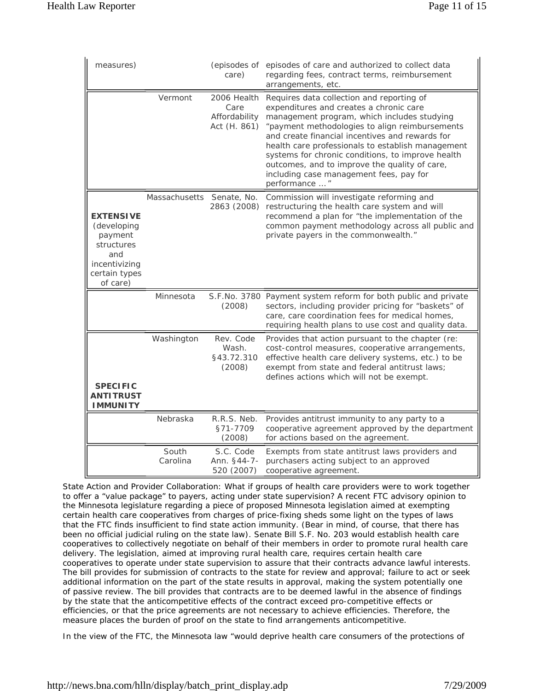| measures)                                                                                                     |                           | (episodes of<br>care)                                | episodes of care and authorized to collect data<br>regarding fees, contract terms, reimbursement<br>arrangements, etc.                                                                                                                                                                                                                                                                                                                                           |  |  |
|---------------------------------------------------------------------------------------------------------------|---------------------------|------------------------------------------------------|------------------------------------------------------------------------------------------------------------------------------------------------------------------------------------------------------------------------------------------------------------------------------------------------------------------------------------------------------------------------------------------------------------------------------------------------------------------|--|--|
|                                                                                                               | Vermont                   | 2006 Health<br>Care<br>Affordability<br>Act (H. 861) | Requires data collection and reporting of<br>expenditures and creates a chronic care<br>management program, which includes studying<br>"payment methodologies to align reimbursements<br>and create financial incentives and rewards for<br>health care professionals to establish management<br>systems for chronic conditions, to improve health<br>outcomes, and to improve the quality of care,<br>including case management fees, pay for<br>performance  " |  |  |
| <b>EXTENSIVE</b><br>(developing<br>payment<br>structures<br>and<br>incentivizing<br>certain types<br>of care) | Massachusetts Senate, No. | 2863 (2008)                                          | Commission will investigate reforming and<br>restructuring the health care system and will<br>recommend a plan for "the implementation of the<br>common payment methodology across all public and<br>private payers in the commonwealth."                                                                                                                                                                                                                        |  |  |
|                                                                                                               | Minnesota                 | (2008)                                               | S.F.No. 3780 Payment system reform for both public and private<br>sectors, including provider pricing for "baskets" of<br>care, care coordination fees for medical homes,<br>requiring health plans to use cost and quality data.                                                                                                                                                                                                                                |  |  |
| <b>SPECIFIC</b><br><b>ANTITRUST</b><br><b>IMMUNITY</b>                                                        | Washington                | Rev. Code<br>Wash.<br>§43.72.310<br>(2008)           | Provides that action pursuant to the chapter (re:<br>cost-control measures, cooperative arrangements,<br>effective health care delivery systems, etc.) to be<br>exempt from state and federal antitrust laws;<br>defines actions which will not be exempt.                                                                                                                                                                                                       |  |  |
|                                                                                                               | Nebraska                  | R.R.S. Neb.<br>§71-7709<br>(2008)                    | Provides antitrust immunity to any party to a<br>cooperative agreement approved by the department<br>for actions based on the agreement.                                                                                                                                                                                                                                                                                                                         |  |  |
|                                                                                                               | South<br>Carolina         | S.C. Code<br>Ann. §44-7-<br>520 (2007)               | Exempts from state antitrust laws providers and<br>purchasers acting subject to an approved<br>cooperative agreement.                                                                                                                                                                                                                                                                                                                                            |  |  |

*State Action and Provider Collaboration*: What if groups of health care providers were to work together to offer a "value package" to payers, acting under state supervision? A recent FTC advisory opinion to the Minnesota legislature regarding a piece of proposed Minnesota legislation aimed at exempting certain health care cooperatives from charges of price-fixing sheds some light on the types of laws that the FTC finds insufficient to find state action immunity. (Bear in mind, of course, that there has been no official judicial ruling on the state law). Senate Bill S.F. No. 203 would establish health care cooperatives to collectively negotiate on behalf of their members in order to promote rural health care delivery. The legislation, aimed at improving rural health care, requires certain health care cooperatives to operate under state supervision to assure that their contracts advance lawful interests. The bill provides for submission of contracts to the state for review and approval; failure to act or seek additional information on the part of the state results in approval, making the system potentially one of passive review. The bill provides that contracts are to be deemed lawful in the absence of findings by the state that the anticompetitive effects of the contract exceed pro-competitive effects or efficiencies, or that the price agreements are not necessary to achieve efficiencies. Therefore, the measure places the burden of proof on the state to find arrangements anticompetitive.

In the view of the FTC, the Minnesota law "would deprive health care consumers of the protections of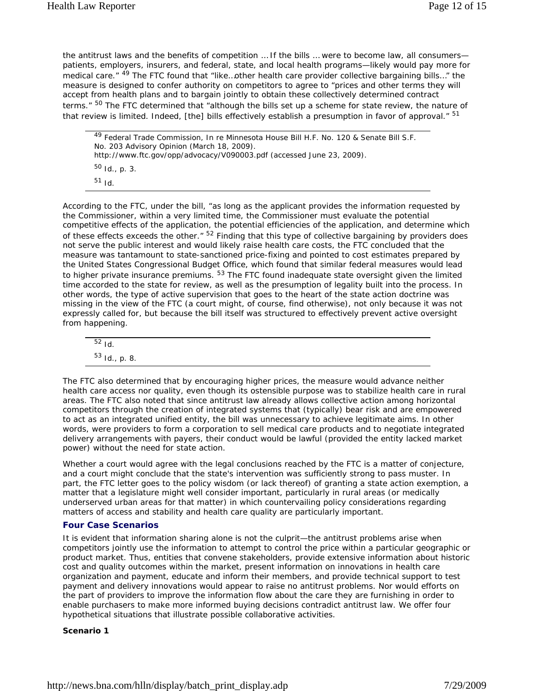the antitrust laws and the benefits of competition ... If the bills ... were to become law, all consumers patients, employers, insurers, and federal, state, and local health programs—likely would pay more for medical care." <sup>49</sup> The FTC found that "like...other health care provider collective bargaining bills..." the measure is designed to confer authority on competitors to agree to "prices and other terms they will accept from health plans and to bargain jointly to obtain these collectively determined contract terms." <sup>50</sup> The FTC determined that "although the bills set up a scheme for state review, the nature of that review is limited. Indeed, [the] bills effectively establish a presumption in favor of approval." <sup>51</sup>

```
49 Federal Trade Commission, In re Minnesota House Bill H.F. No. 120 & Senate Bill S.F. 
No. 203 Advisory Opinion (March 18, 2009). 
http://www.ftc.gov/opp/advocacy/V090003.pdf (accessed June 23, 2009). 
50 Id., p. 3.
51 Id.
```
According to the FTC, under the bill, "as long as the applicant provides the information requested by the Commissioner, within a very limited time, the Commissioner must evaluate the potential competitive effects of the application, the potential efficiencies of the application, and determine which of these effects exceeds the other." <sup>52</sup> Finding that this type of collective bargaining by providers does not serve the public interest and would likely raise health care costs, the FTC concluded that the measure was tantamount to state-sanctioned price-fixing and pointed to cost estimates prepared by the United States Congressional Budget Office, which found that similar federal measures would lead to higher private insurance premiums. <sup>53</sup> The FTC found inadequate state oversight given the limited time accorded to the state for review, as well as the presumption of legality built into the process. In other words, the type of active supervision that goes to the heart of the state action doctrine was missing in the view of the FTC (a court might, of course, find otherwise), not only because it was not expressly called for, but because the bill itself was structured to effectively prevent active oversight from happening.

| $52$ Id.                         |  |  |  |
|----------------------------------|--|--|--|
|                                  |  |  |  |
| <sup>53</sup> <i>Id.</i> , p. 8. |  |  |  |

The FTC also determined that by encouraging higher prices, the measure would advance neither health care access nor quality, even though its ostensible purpose was to stabilize health care in rural areas. The FTC also noted that since antitrust law already allows collective action among horizontal competitors through the creation of integrated systems that (typically) bear risk and are empowered to act as an integrated unified entity, the bill was unnecessary to achieve legitimate aims. In other words, were providers to form a corporation to sell medical care products and to negotiate integrated delivery arrangements with payers, their conduct would be lawful (provided the entity lacked market power) without the need for state action.

Whether a court would agree with the legal conclusions reached by the FTC is a matter of conjecture, and a court might conclude that the state's intervention was sufficiently strong to pass muster. In part, the FTC letter goes to the policy wisdom (or lack thereof) of granting a state action exemption, a matter that a legislature might well consider important, particularly in rural areas (or medically underserved urban areas for that matter) in which countervailing policy considerations regarding matters of access and stability and health care quality are particularly important.

#### **Four Case Scenarios**

It is evident that information sharing alone is not the culprit—the antitrust problems arise when competitors jointly use the information to attempt to control the price within a particular geographic or product market. Thus, entities that convene stakeholders, provide extensive information about historic cost and quality outcomes within the market, present information on innovations in health care organization and payment, educate and inform their members, and provide technical support to test payment and delivery innovations would appear to raise no antitrust problems. Nor would efforts on the part of providers to improve the information flow about the care they are furnishing in order to enable purchasers to make more informed buying decisions contradict antitrust law. We offer four hypothetical situations that illustrate possible collaborative activities.

#### *Scenario 1*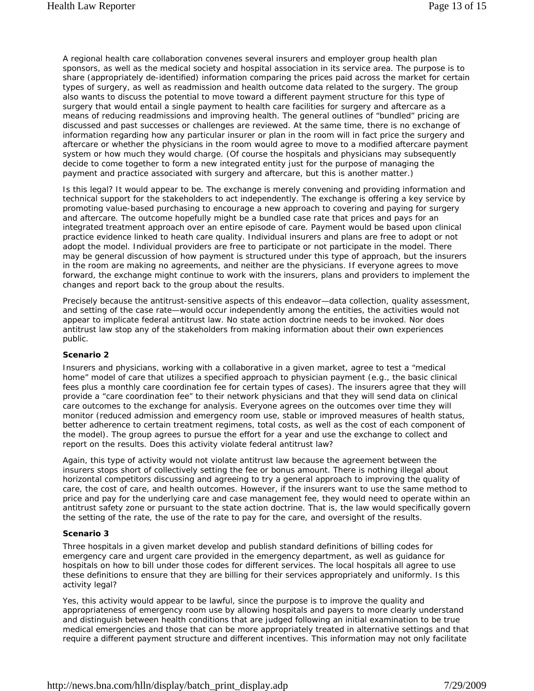A regional health care collaboration convenes several insurers and employer group health plan sponsors, as well as the medical society and hospital association in its service area. The purpose is to share (appropriately de-identified) information comparing the prices paid across the market for certain types of surgery, as well as readmission and health outcome data related to the surgery. The group also wants to discuss the potential to move toward a different payment structure for this type of surgery that would entail a single payment to health care facilities for surgery and aftercare as a means of reducing readmissions and improving health. The general outlines of "bundled" pricing are discussed and past successes or challenges are reviewed. At the same time, there is no exchange of information regarding how any particular insurer or plan in the room will in fact price the surgery and aftercare or whether the physicians in the room would agree to move to a modified aftercare payment system or how much they would charge. (Of course the hospitals and physicians may subsequently decide to come together to form a new integrated entity just for the purpose of managing the payment and practice associated with surgery and aftercare, but this is another matter.)

Is this legal? It would appear to be. The exchange is merely convening and providing information and technical support for the stakeholders to act independently. The exchange is offering a key service by promoting value-based purchasing to encourage a new approach to covering and paying for surgery and aftercare. The outcome hopefully might be a bundled case rate that prices and pays for an integrated treatment approach over an entire episode of care. Payment would be based upon clinical practice evidence linked to heath care quality. Individual insurers and plans are free to adopt or not adopt the model. Individual providers are free to participate or not participate in the model. There may be general discussion of how payment is structured under this type of approach, but the insurers in the room are making no agreements, and neither are the physicians. If everyone agrees to move forward, the exchange might continue to work with the insurers, plans and providers to implement the changes and report back to the group about the results.

Precisely because the antitrust-sensitive aspects of this endeavor—data collection, quality assessment, and setting of the case rate—would occur independently among the entities, the activities would not appear to implicate federal antitrust law. No state action doctrine needs to be invoked. Nor does antitrust law stop any of the stakeholders from making information about their own experiences public.

#### *Scenario 2*

Insurers and physicians, working with a collaborative in a given market, agree to test a "medical home" model of care that utilizes a specified approach to physician payment (e.g., the basic clinical fees plus a monthly care coordination fee for certain types of cases). The insurers agree that they will provide a "care coordination fee" to their network physicians and that they will send data on clinical care outcomes to the exchange for analysis. Everyone agrees on the outcomes over time they will monitor (reduced admission and emergency room use, stable or improved measures of health status, better adherence to certain treatment regimens, total costs, as well as the cost of each component of the model). The group agrees to pursue the effort for a year and use the exchange to collect and report on the results. Does this activity violate federal antitrust law?

Again, this type of activity would not violate antitrust law because the agreement between the insurers stops short of collectively setting the fee or bonus amount. There is nothing illegal about horizontal competitors discussing and agreeing to try a general approach to improving the quality of care, the cost of care, and health outcomes. However, if the insurers want to use the same method to price and pay for the underlying care and case management fee, they would need to operate within an antitrust safety zone or pursuant to the state action doctrine. That is, the law would specifically govern the setting of the rate, the use of the rate to pay for the care, and oversight of the results.

#### *Scenario 3*

Three hospitals in a given market develop and publish standard definitions of billing codes for emergency care and urgent care provided in the emergency department, as well as guidance for hospitals on how to bill under those codes for different services. The local hospitals all agree to use these definitions to ensure that they are billing for their services appropriately and uniformly. Is this activity legal?

Yes, this activity would appear to be lawful, since the purpose is to improve the quality and appropriateness of emergency room use by allowing hospitals and payers to more clearly understand and distinguish between health conditions that are judged following an initial examination to be true medical emergencies and those that can be more appropriately treated in alternative settings and that require a different payment structure and different incentives. This information may not only facilitate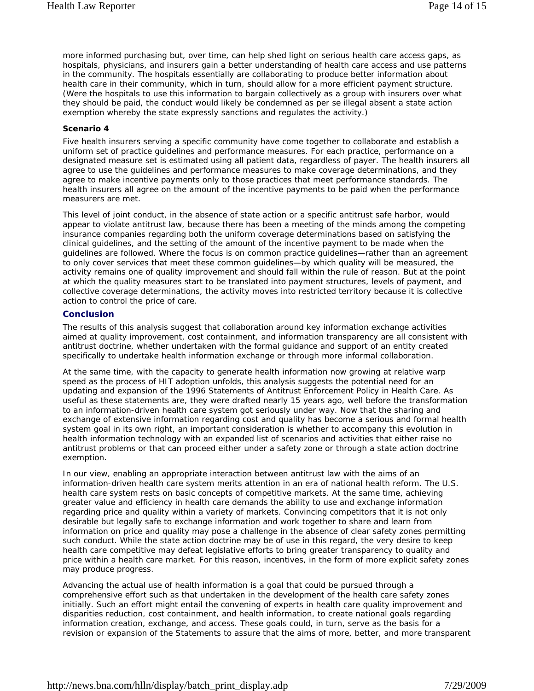more informed purchasing but, over time, can help shed light on serious health care access gaps, as hospitals, physicians, and insurers gain a better understanding of health care access and use patterns in the community. The hospitals essentially are collaborating to produce better information about health care in their community, which in turn, should allow for a more efficient payment structure. (Were the hospitals to use this information to bargain collectively as a group with insurers over what they should be paid, the conduct would likely be condemned as per se illegal absent a state action exemption whereby the state expressly sanctions and regulates the activity.)

#### *Scenario 4*

Five health insurers serving a specific community have come together to collaborate and establish a uniform set of practice guidelines and performance measures. For each practice, performance on a designated measure set is estimated using all patient data, regardless of payer. The health insurers all agree to use the guidelines and performance measures to make coverage determinations, and they agree to make incentive payments only to those practices that meet performance standards. The health insurers all agree on the amount of the incentive payments to be paid when the performance measurers are met.

This level of joint conduct, in the absence of state action or a specific antitrust safe harbor, would appear to violate antitrust law, because there has been a meeting of the minds among the competing insurance companies regarding both the uniform coverage determinations based on satisfying the clinical guidelines, and the setting of the amount of the incentive payment to be made when the guidelines are followed. Where the focus is on common practice guidelines—rather than an agreement to only cover services that meet these common guidelines—by which quality will be measured, the activity remains one of quality improvement and should fall within the rule of reason. But at the point at which the quality measures start to be translated into payment structures, levels of payment, and collective coverage determinations, the activity moves into restricted territory because it is collective action to control the price of care.

#### **Conclusion**

The results of this analysis suggest that collaboration around key information exchange activities aimed at quality improvement, cost containment, and information transparency are all consistent with antitrust doctrine, whether undertaken with the formal guidance and support of an entity created specifically to undertake health information exchange or through more informal collaboration.

At the same time, with the capacity to generate health information now growing at relative warp speed as the process of HIT adoption unfolds, this analysis suggests the potential need for an updating and expansion of the 1996 Statements of Antitrust Enforcement Policy in Health Care. As useful as these statements are, they were drafted nearly 15 years ago, well before the transformation to an information-driven health care system got seriously under way. Now that the sharing and exchange of extensive information regarding cost and quality has become a serious and formal health system goal in its own right, an important consideration is whether to accompany this evolution in health information technology with an expanded list of scenarios and activities that either raise no antitrust problems or that can proceed either under a safety zone or through a state action doctrine exemption.

In our view, enabling an appropriate interaction between antitrust law with the aims of an information-driven health care system merits attention in an era of national health reform. The U.S. health care system rests on basic concepts of competitive markets. At the same time, achieving greater value and efficiency in health care demands the ability to use and exchange information regarding price and quality within a variety of markets. Convincing competitors that it is not only desirable but legally safe to exchange information and work together to share and learn from information on price and quality may pose a challenge in the absence of clear safety zones permitting such conduct. While the state action doctrine may be of use in this regard, the very desire to keep health care competitive may defeat legislative efforts to bring greater transparency to quality and price within a health care market. For this reason, incentives, in the form of more explicit safety zones may produce progress.

Advancing the actual use of health information is a goal that could be pursued through a comprehensive effort such as that undertaken in the development of the health care safety zones initially. Such an effort might entail the convening of experts in health care quality improvement and disparities reduction, cost containment, and health information, to create national goals regarding information creation, exchange, and access. These goals could, in turn, serve as the basis for a revision or expansion of the Statements to assure that the aims of more, better, and more transparent